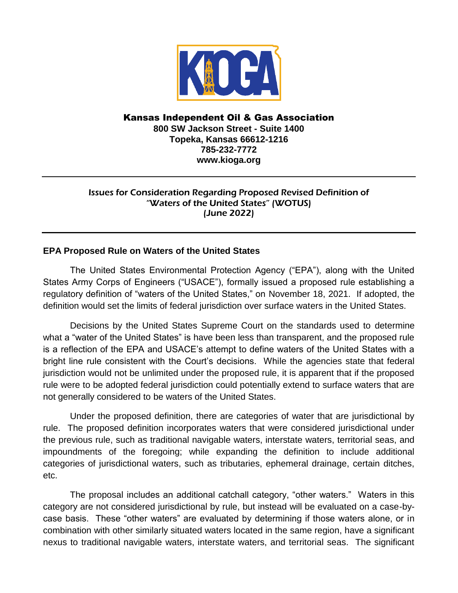

## Kansas Independent Oil & Gas Association **800 SW Jackson Street - Suite 1400 Topeka, Kansas 66612-1216 785-232-7772 www.kioga.org**

## Issues for Consideration Regarding Proposed Revised Definition of "Waters of the United States" (WOTUS) (June 2022)

## **EPA Proposed Rule on Waters of the United States**

The United States Environmental Protection Agency ("EPA"), along with the United States Army Corps of Engineers ("USACE"), formally issued a proposed rule establishing a regulatory definition of "waters of the United States," on November 18, 2021. If adopted, the definition would set the limits of federal jurisdiction over surface waters in the United States.

Decisions by the United States Supreme Court on the standards used to determine what a "water of the United States" is have been less than transparent, and the proposed rule is a reflection of the EPA and USACE's attempt to define waters of the United States with a bright line rule consistent with the Court's decisions. While the agencies state that federal jurisdiction would not be unlimited under the proposed rule, it is apparent that if the proposed rule were to be adopted federal jurisdiction could potentially extend to surface waters that are not generally considered to be waters of the United States.

Under the proposed definition, there are categories of water that are jurisdictional by rule. The proposed definition incorporates waters that were considered jurisdictional under the previous rule, such as traditional navigable waters, interstate waters, territorial seas, and impoundments of the foregoing; while expanding the definition to include additional categories of jurisdictional waters, such as tributaries, ephemeral drainage, certain ditches, etc.

The proposal includes an additional catchall category, "other waters." Waters in this category are not considered jurisdictional by rule, but instead will be evaluated on a case-bycase basis. These "other waters" are evaluated by determining if those waters alone, or in combination with other similarly situated waters located in the same region, have a significant nexus to traditional navigable waters, interstate waters, and territorial seas. The significant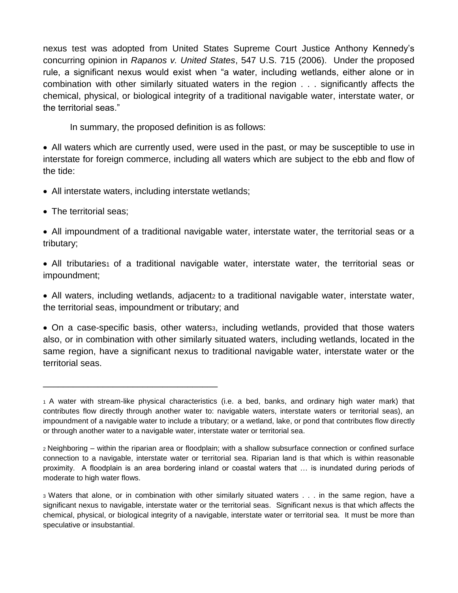nexus test was adopted from United States Supreme Court Justice Anthony Kennedy's concurring opinion in *Rapanos v. United States*, 547 U.S. 715 (2006). Under the proposed rule, a significant nexus would exist when "a water, including wetlands, either alone or in combination with other similarly situated waters in the region . . . significantly affects the chemical, physical, or biological integrity of a traditional navigable water, interstate water, or the territorial seas."

In summary, the proposed definition is as follows:

All waters which are currently used, were used in the past, or may be susceptible to use in interstate for foreign commerce, including all waters which are subject to the ebb and flow of the tide:

• All interstate waters, including interstate wetlands;

\_\_\_\_\_\_\_\_\_\_\_\_\_\_\_\_\_\_\_\_\_\_\_\_\_\_\_\_\_\_\_\_\_\_\_

• The territorial seas:

All impoundment of a traditional navigable water, interstate water, the territorial seas or a tributary;

• All tributaries1 of a traditional navigable water, interstate water, the territorial seas or impoundment;

• All waters, including wetlands, adjacentz to a traditional navigable water, interstate water, the territorial seas, impoundment or tributary; and

• On a case-specific basis, other waters<sub>3</sub>, including wetlands, provided that those waters also, or in combination with other similarly situated waters, including wetlands, located in the same region, have a significant nexus to traditional navigable water, interstate water or the territorial seas.

<sup>1</sup>A water with stream-like physical characteristics (i.e. a bed, banks, and ordinary high water mark) that contributes flow directly through another water to: navigable waters, interstate waters or territorial seas), an impoundment of a navigable water to include a tributary; or a wetland, lake, or pond that contributes flow directly or through another water to a navigable water, interstate water or territorial sea.

<sup>2</sup>Neighboring – within the riparian area or floodplain; with a shallow subsurface connection or confined surface connection to a navigable, interstate water or territorial sea. Riparian land is that which is within reasonable proximity. A floodplain is an area bordering inland or coastal waters that … is inundated during periods of moderate to high water flows.

<sup>3</sup>Waters that alone, or in combination with other similarly situated waters . . . in the same region, have a significant nexus to navigable, interstate water or the territorial seas. Significant nexus is that which affects the chemical, physical, or biological integrity of a navigable, interstate water or territorial sea. It must be more than speculative or insubstantial.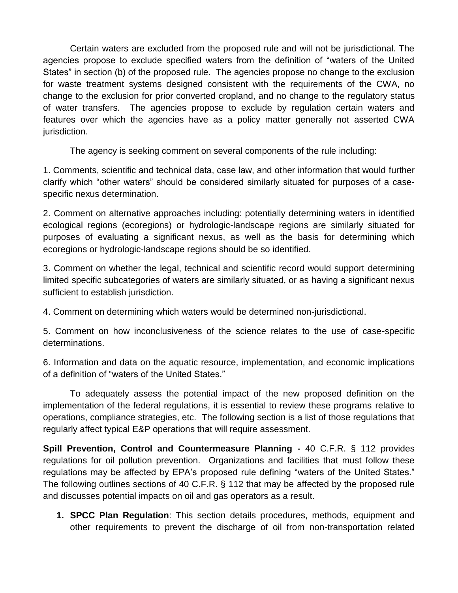Certain waters are excluded from the proposed rule and will not be jurisdictional. The agencies propose to exclude specified waters from the definition of "waters of the United States" in section (b) of the proposed rule. The agencies propose no change to the exclusion for waste treatment systems designed consistent with the requirements of the CWA, no change to the exclusion for prior converted cropland, and no change to the regulatory status of water transfers. The agencies propose to exclude by regulation certain waters and features over which the agencies have as a policy matter generally not asserted CWA jurisdiction.

The agency is seeking comment on several components of the rule including:

1. Comments, scientific and technical data, case law, and other information that would further clarify which "other waters" should be considered similarly situated for purposes of a casespecific nexus determination.

2. Comment on alternative approaches including: potentially determining waters in identified ecological regions (ecoregions) or hydrologic-landscape regions are similarly situated for purposes of evaluating a significant nexus, as well as the basis for determining which ecoregions or hydrologic-landscape regions should be so identified.

3. Comment on whether the legal, technical and scientific record would support determining limited specific subcategories of waters are similarly situated, or as having a significant nexus sufficient to establish jurisdiction.

4. Comment on determining which waters would be determined non-jurisdictional.

5. Comment on how inconclusiveness of the science relates to the use of case-specific determinations.

6. Information and data on the aquatic resource, implementation, and economic implications of a definition of "waters of the United States."

To adequately assess the potential impact of the new proposed definition on the implementation of the federal regulations, it is essential to review these programs relative to operations, compliance strategies, etc. The following section is a list of those regulations that regularly affect typical E&P operations that will require assessment.

**Spill Prevention, Control and Countermeasure Planning -** 40 C.F.R. § 112 provides regulations for oil pollution prevention. Organizations and facilities that must follow these regulations may be affected by EPA's proposed rule defining "waters of the United States." The following outlines sections of 40 C.F.R. § 112 that may be affected by the proposed rule and discusses potential impacts on oil and gas operators as a result.

**1. SPCC Plan Regulation**: This section details procedures, methods, equipment and other requirements to prevent the discharge of oil from non-transportation related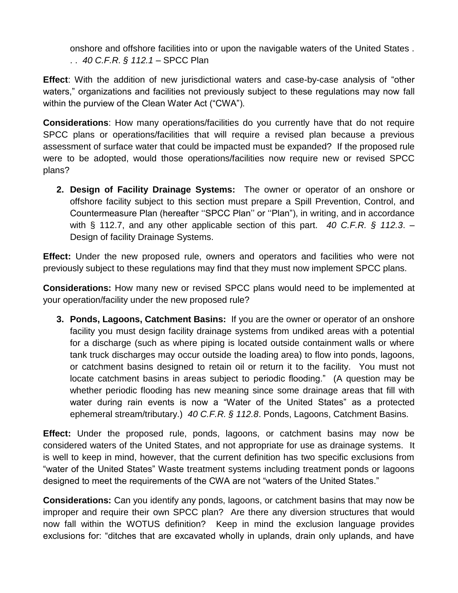onshore and offshore facilities into or upon the navigable waters of the United States . . . *40 C.F.R. § 112.1 –* SPCC Plan

**Effect**: With the addition of new jurisdictional waters and case-by-case analysis of "other waters," organizations and facilities not previously subject to these regulations may now fall within the purview of the Clean Water Act ("CWA").

**Considerations**: How many operations/facilities do you currently have that do not require SPCC plans or operations/facilities that will require a revised plan because a previous assessment of surface water that could be impacted must be expanded? If the proposed rule were to be adopted, would those operations/facilities now require new or revised SPCC plans?

**2. Design of Facility Drainage Systems:** The owner or operator of an onshore or offshore facility subject to this section must prepare a Spill Prevention, Control, and Countermeasure Plan (hereafter ''SPCC Plan'' or ''Plan"), in writing, and in accordance with § 112.7, and any other applicable section of this part. *40 C.F.R. § 112.3*. – Design of facility Drainage Systems.

**Effect:** Under the new proposed rule, owners and operators and facilities who were not previously subject to these regulations may find that they must now implement SPCC plans.

**Considerations:** How many new or revised SPCC plans would need to be implemented at your operation/facility under the new proposed rule?

**3. Ponds, Lagoons, Catchment Basins:** If you are the owner or operator of an onshore facility you must design facility drainage systems from undiked areas with a potential for a discharge (such as where piping is located outside containment walls or where tank truck discharges may occur outside the loading area) to flow into ponds, lagoons, or catchment basins designed to retain oil or return it to the facility. You must not locate catchment basins in areas subject to periodic flooding." (A question may be whether periodic flooding has new meaning since some drainage areas that fill with water during rain events is now a "Water of the United States" as a protected ephemeral stream/tributary.) *40 C.F.R. § 112.8*. Ponds, Lagoons, Catchment Basins.

**Effect:** Under the proposed rule, ponds, lagoons, or catchment basins may now be considered waters of the United States, and not appropriate for use as drainage systems. It is well to keep in mind, however, that the current definition has two specific exclusions from "water of the United States" Waste treatment systems including treatment ponds or lagoons designed to meet the requirements of the CWA are not "waters of the United States."

**Considerations:** Can you identify any ponds, lagoons, or catchment basins that may now be improper and require their own SPCC plan? Are there any diversion structures that would now fall within the WOTUS definition? Keep in mind the exclusion language provides exclusions for: "ditches that are excavated wholly in uplands, drain only uplands, and have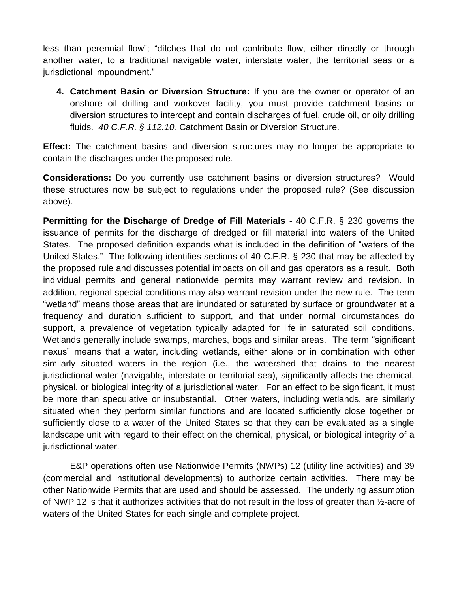less than perennial flow"; "ditches that do not contribute flow, either directly or through another water, to a traditional navigable water, interstate water, the territorial seas or a jurisdictional impoundment."

**4. Catchment Basin or Diversion Structure:** If you are the owner or operator of an onshore oil drilling and workover facility, you must provide catchment basins or diversion structures to intercept and contain discharges of fuel, crude oil, or oily drilling fluids. *40 C.F.R. § 112.10.* Catchment Basin or Diversion Structure.

**Effect:** The catchment basins and diversion structures may no longer be appropriate to contain the discharges under the proposed rule.

**Considerations:** Do you currently use catchment basins or diversion structures? Would these structures now be subject to regulations under the proposed rule? (See discussion above).

**Permitting for the Discharge of Dredge of Fill Materials -** 40 C.F.R. § 230 governs the issuance of permits for the discharge of dredged or fill material into waters of the United States. The proposed definition expands what is included in the definition of "waters of the United States." The following identifies sections of 40 C.F.R. § 230 that may be affected by the proposed rule and discusses potential impacts on oil and gas operators as a result. Both individual permits and general nationwide permits may warrant review and revision. In addition, regional special conditions may also warrant revision under the new rule. The term "wetland" means those areas that are inundated or saturated by surface or groundwater at a frequency and duration sufficient to support, and that under normal circumstances do support, a prevalence of vegetation typically adapted for life in saturated soil conditions. Wetlands generally include swamps, marches, bogs and similar areas. The term "significant nexus" means that a water, including wetlands, either alone or in combination with other similarly situated waters in the region (i.e., the watershed that drains to the nearest jurisdictional water (navigable, interstate or territorial sea), significantly affects the chemical, physical, or biological integrity of a jurisdictional water. For an effect to be significant, it must be more than speculative or insubstantial. Other waters, including wetlands, are similarly situated when they perform similar functions and are located sufficiently close together or sufficiently close to a water of the United States so that they can be evaluated as a single landscape unit with regard to their effect on the chemical, physical, or biological integrity of a jurisdictional water.

E&P operations often use Nationwide Permits (NWPs) 12 (utility line activities) and 39 (commercial and institutional developments) to authorize certain activities. There may be other Nationwide Permits that are used and should be assessed. The underlying assumption of NWP 12 is that it authorizes activities that do not result in the loss of greater than ½-acre of waters of the United States for each single and complete project.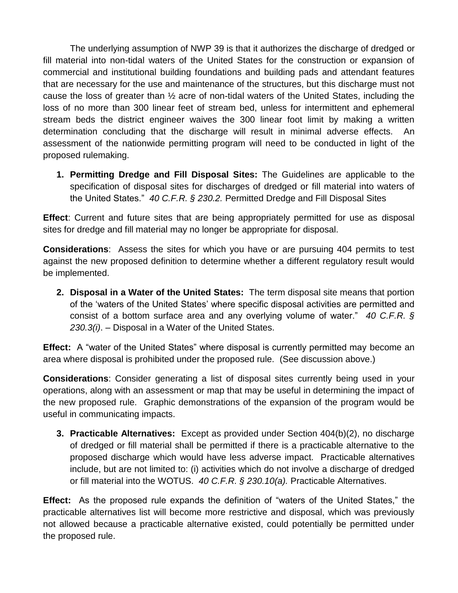The underlying assumption of NWP 39 is that it authorizes the discharge of dredged or fill material into non-tidal waters of the United States for the construction or expansion of commercial and institutional building foundations and building pads and attendant features that are necessary for the use and maintenance of the structures, but this discharge must not cause the loss of greater than ½ acre of non-tidal waters of the United States, including the loss of no more than 300 linear feet of stream bed, unless for intermittent and ephemeral stream beds the district engineer waives the 300 linear foot limit by making a written determination concluding that the discharge will result in minimal adverse effects. An assessment of the nationwide permitting program will need to be conducted in light of the proposed rulemaking.

**1. Permitting Dredge and Fill Disposal Sites:** The Guidelines are applicable to the specification of disposal sites for discharges of dredged or fill material into waters of the United States." *40 C.F.R. § 230.2.* Permitted Dredge and Fill Disposal Sites

**Effect**: Current and future sites that are being appropriately permitted for use as disposal sites for dredge and fill material may no longer be appropriate for disposal.

**Considerations**: Assess the sites for which you have or are pursuing 404 permits to test against the new proposed definition to determine whether a different regulatory result would be implemented.

**2. Disposal in a Water of the United States:** The term disposal site means that portion of the 'waters of the United States' where specific disposal activities are permitted and consist of a bottom surface area and any overlying volume of water." *40 C.F.R. § 230.3(i)*. – Disposal in a Water of the United States.

**Effect:** A "water of the United States" where disposal is currently permitted may become an area where disposal is prohibited under the proposed rule. (See discussion above.)

**Considerations**: Consider generating a list of disposal sites currently being used in your operations, along with an assessment or map that may be useful in determining the impact of the new proposed rule. Graphic demonstrations of the expansion of the program would be useful in communicating impacts.

**3. Practicable Alternatives:** Except as provided under Section 404(b)(2), no discharge of dredged or fill material shall be permitted if there is a practicable alternative to the proposed discharge which would have less adverse impact. Practicable alternatives include, but are not limited to: (i) activities which do not involve a discharge of dredged or fill material into the WOTUS. *40 C.F.R. § 230.10(a).* Practicable Alternatives.

**Effect:** As the proposed rule expands the definition of "waters of the United States," the practicable alternatives list will become more restrictive and disposal, which was previously not allowed because a practicable alternative existed, could potentially be permitted under the proposed rule.